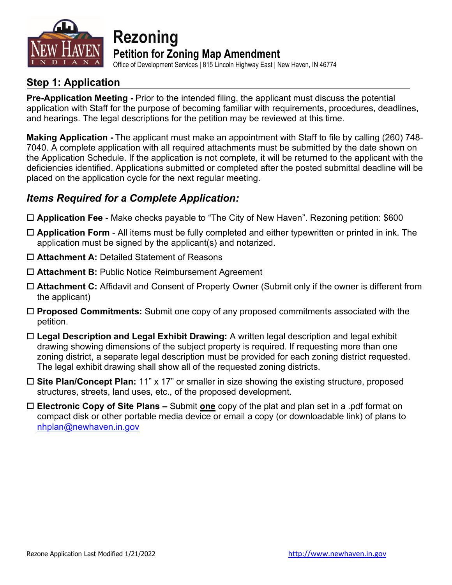

**Rezoning Petition for Zoning Map Amendment** 

Office of Development Services | 815 Lincoln Highway East | New Haven, IN 46774

### **Step 1: Application**

**Pre-Application Meeting -** Prior to the intended filing, the applicant must discuss the potential application with Staff for the purpose of becoming familiar with requirements, procedures, deadlines, and hearings. The legal descriptions for the petition may be reviewed at this time.

**Making Application -** The applicant must make an appointment with Staff to file by calling (260) 748- 7040. A complete application with all required attachments must be submitted by the date shown on the Application Schedule. If the application is not complete, it will be returned to the applicant with the deficiencies identified. Applications submitted or completed after the posted submittal deadline will be placed on the application cycle for the next regular meeting.

### *Items Required for a Complete Application:*

- **Application Fee** Make checks payable to "The City of New Haven". Rezoning petition: \$600
- **Application Form** All items must be fully completed and either typewritten or printed in ink. The application must be signed by the applicant(s) and notarized.
- **Attachment A:** Detailed Statement of Reasons
- **Attachment B:** Public Notice Reimbursement Agreement
- **Attachment C:** Affidavit and Consent of Property Owner (Submit only if the owner is different from the applicant)
- **Proposed Commitments:** Submit one copy of any proposed commitments associated with the petition.
- **Legal Description and Legal Exhibit Drawing:** A written legal description and legal exhibit drawing showing dimensions of the subject property is required. If requesting more than one zoning district, a separate legal description must be provided for each zoning district requested. The legal exhibit drawing shall show all of the requested zoning districts.
- **Site Plan/Concept Plan:** 11" x 17" or smaller in size showing the existing structure, proposed structures, streets, land uses, etc., of the proposed development.
- **Electronic Copy of Site Plans –** Submit **one** copy of the plat and plan set in a .pdf format on compact disk or other portable media device or email a copy (or downloadable link) of plans to [nhplan@newhaven.in.gov](mailto:nhplan@newhaven.in.gov)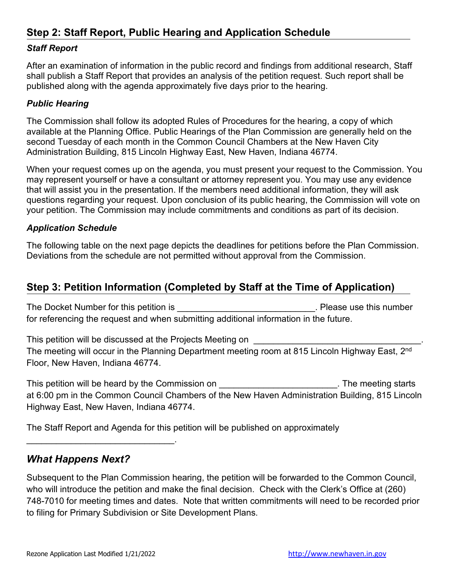### **Step 2: Staff Report, Public Hearing and Application Schedule**

### *Staff Report*

After an examination of information in the public record and findings from additional research, Staff shall publish a Staff Report that provides an analysis of the petition request. Such report shall be published along with the agenda approximately five days prior to the hearing.

#### *Public Hearing*

The Commission shall follow its adopted Rules of Procedures for the hearing, a copy of which available at the Planning Office. Public Hearings of the Plan Commission are generally held on the second Tuesday of each month in the Common Council Chambers at the New Haven City Administration Building, 815 Lincoln Highway East, New Haven, Indiana 46774.

When your request comes up on the agenda, you must present your request to the Commission. You may represent yourself or have a consultant or attorney represent you. You may use any evidence that will assist you in the presentation. If the members need additional information, they will ask questions regarding your request. Upon conclusion of its public hearing, the Commission will vote on your petition. The Commission may include commitments and conditions as part of its decision.

#### *Application Schedule*

The following table on the next page depicts the deadlines for petitions before the Plan Commission. Deviations from the schedule are not permitted without approval from the Commission.

### **Step 3: Petition Information (Completed by Staff at the Time of Application)**

The Docket Number for this petition is **The Docket Number** of this petition is for referencing the request and when submitting additional information in the future.

This petition will be discussed at the Projects Meeting on **will** be discussed at the Projects Meeting on The meeting will occur in the Planning Department meeting room at 815 Lincoln Highway East, 2<sup>nd</sup> Floor, New Haven, Indiana 46774.

This petition will be heard by the Commission on This petition will be heard by the Commission on at 6:00 pm in the Common Council Chambers of the New Haven Administration Building, 815 Lincoln Highway East, New Haven, Indiana 46774.

The Staff Report and Agenda for this petition will be published on approximately

### *What Happens Next?*

\_\_\_\_\_\_\_\_\_\_\_\_\_\_\_\_\_\_\_\_\_\_\_\_\_\_\_\_\_\_.

Subsequent to the Plan Commission hearing, the petition will be forwarded to the Common Council, who will introduce the petition and make the final decision. Check with the Clerk's Office at (260) 748-7010 for meeting times and dates. Note that written commitments will need to be recorded prior to filing for Primary Subdivision or Site Development Plans.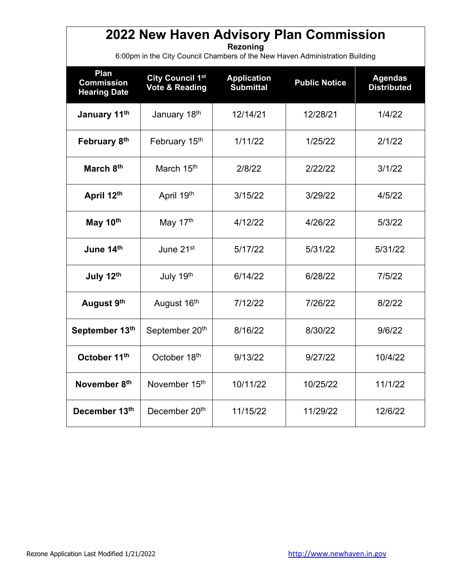### **2022 New Haven Advisory Plan Commission**

**Rezoning**

6:00pm in the City Council Chambers of the New Haven Administration Building

| Plan<br><b>Commission</b><br><b>Hearing Date</b> | City Council 1st<br><b>Vote &amp; Reading</b> | <b>Application</b><br><b>Submittal</b> | <b>Public Notice</b> | <b>Agendas</b><br><b>Distributed</b> |
|--------------------------------------------------|-----------------------------------------------|----------------------------------------|----------------------|--------------------------------------|
| January 11th                                     | January 18th                                  | 12/14/21                               | 12/28/21             | 1/4/22                               |
| February 8th                                     | February 15th                                 | 1/11/22                                | 1/25/22              | 2/1/22                               |
| March 8th                                        | March 15 <sup>th</sup>                        | 2/8/22                                 | 2/22/22              | 3/1/22                               |
| April 12th                                       | April 19th                                    | 3/15/22                                | 3/29/22              | 4/5/22                               |
| May 10th                                         | May 17th                                      | 4/12/22                                | 4/26/22              | 5/3/22                               |
| June 14th                                        | June 21 <sup>st</sup>                         | 5/17/22                                | 5/31/22              | 5/31/22                              |
| July 12th                                        | July 19th                                     | 6/14/22                                | 6/28/22              | 7/5/22                               |
| August 9th                                       | August 16th                                   | 7/12/22                                | 7/26/22              | 8/2/22                               |
| September 13th                                   | September 20 <sup>th</sup>                    | 8/16/22                                | 8/30/22              | 9/6/22                               |
| October 11th                                     | October 18th                                  | 9/13/22                                | 9/27/22              | 10/4/22                              |
| November 8th                                     | November 15th                                 | 10/11/22                               | 10/25/22             | 11/1/22                              |
| December 13th                                    | December 20 <sup>th</sup>                     | 11/15/22                               | 11/29/22             | 12/6/22                              |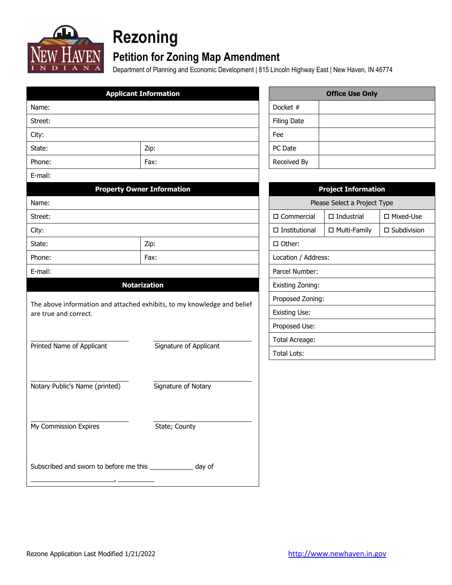

# **Rezoning**

### **Petition for Zoning Map Amendment**

Department of Planning and Economic Development | 815 Lincoln Highway East | New Haven, IN 46774

|                                                              | <b>Applicant Information</b>                                            |                      |  | <b>Office Use Only</b>       |                       |  |  |
|--------------------------------------------------------------|-------------------------------------------------------------------------|----------------------|--|------------------------------|-----------------------|--|--|
| Name:                                                        | Docket #                                                                |                      |  |                              |                       |  |  |
| Street:                                                      | <b>Filing Date</b>                                                      |                      |  |                              |                       |  |  |
| City:                                                        |                                                                         | Fee                  |  |                              |                       |  |  |
| State:                                                       | Zip:                                                                    | PC Date              |  |                              |                       |  |  |
| Phone:                                                       | Fax:                                                                    | Received By          |  |                              |                       |  |  |
| E-mail:                                                      |                                                                         |                      |  |                              |                       |  |  |
|                                                              | <b>Property Owner Information</b>                                       |                      |  | <b>Project Information</b>   |                       |  |  |
| Name:                                                        |                                                                         |                      |  | Please Select a Project Type |                       |  |  |
| Street:                                                      |                                                                         | $\square$ Commercial |  | $\Box$ Industrial            | □ Mixed-Use           |  |  |
| City:                                                        |                                                                         | $\Box$ Institutional |  | □ Multi-Family               | $\square$ Subdivision |  |  |
| State:                                                       | Zip:                                                                    | □ Other:             |  |                              |                       |  |  |
| Phone:                                                       | Fax:                                                                    |                      |  | Location / Address:          |                       |  |  |
| E-mail:                                                      |                                                                         | Parcel Number:       |  |                              |                       |  |  |
|                                                              | <b>Notarization</b>                                                     | Existing Zoning:     |  |                              |                       |  |  |
|                                                              |                                                                         | Proposed Zoning:     |  |                              |                       |  |  |
| are true and correct.                                        | The above information and attached exhibits, to my knowledge and belief | <b>Existing Use:</b> |  |                              |                       |  |  |
|                                                              |                                                                         | Proposed Use:        |  |                              |                       |  |  |
|                                                              |                                                                         | Total Acreage:       |  |                              |                       |  |  |
| Printed Name of Applicant                                    | Signature of Applicant                                                  | <b>Total Lots:</b>   |  |                              |                       |  |  |
|                                                              |                                                                         |                      |  |                              |                       |  |  |
|                                                              |                                                                         |                      |  |                              |                       |  |  |
| Notary Public's Name (printed)                               | Signature of Notary                                                     |                      |  |                              |                       |  |  |
|                                                              |                                                                         |                      |  |                              |                       |  |  |
|                                                              |                                                                         |                      |  |                              |                       |  |  |
| My Commission Expires                                        | State; County                                                           |                      |  |                              |                       |  |  |
|                                                              |                                                                         |                      |  |                              |                       |  |  |
|                                                              |                                                                         |                      |  |                              |                       |  |  |
| Subscribed and sworn to before me this ______________ day of |                                                                         |                      |  |                              |                       |  |  |
|                                                              |                                                                         |                      |  |                              |                       |  |  |

| <b>Office Use Only</b> |  |  |  |  |  |
|------------------------|--|--|--|--|--|
| Docket #               |  |  |  |  |  |
| <b>Filing Date</b>     |  |  |  |  |  |
| Fee                    |  |  |  |  |  |
| PC Date                |  |  |  |  |  |
| Received By            |  |  |  |  |  |

| <b>Project Information</b>                         |  |  |  |  |  |  |  |
|----------------------------------------------------|--|--|--|--|--|--|--|
| Please Select a Project Type                       |  |  |  |  |  |  |  |
| □ Mixed-Use<br>□ Commercial<br>$\Box$ Industrial   |  |  |  |  |  |  |  |
| □ Subdivision<br>□ Institutional<br>□ Multi-Family |  |  |  |  |  |  |  |
| □ Other:                                           |  |  |  |  |  |  |  |
| Location / Address:                                |  |  |  |  |  |  |  |
| Parcel Number:                                     |  |  |  |  |  |  |  |
| Existing Zoning:                                   |  |  |  |  |  |  |  |
| Proposed Zoning:                                   |  |  |  |  |  |  |  |
| Existing Use:                                      |  |  |  |  |  |  |  |
| Proposed Use:                                      |  |  |  |  |  |  |  |
| Total Acreage:                                     |  |  |  |  |  |  |  |
| Total Lots:                                        |  |  |  |  |  |  |  |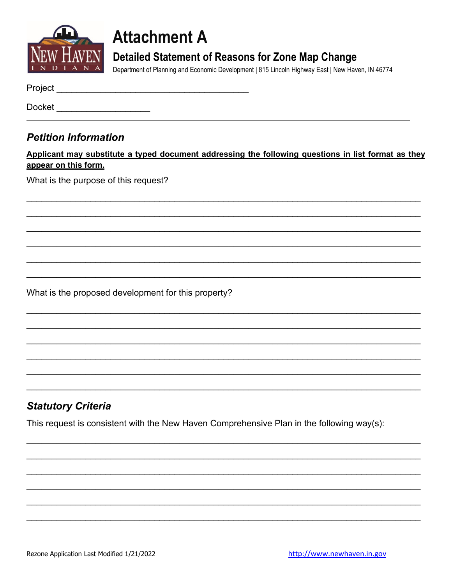

## **Attachment A**

### **Detailed Statement of Reasons for Zone Map Change**

Department of Planning and Economic Development | 815 Lincoln Highway East | New Haven, IN 46774

Docket \_\_\_\_\_\_\_\_\_\_\_\_\_\_\_\_\_\_

### **Petition Information**

Applicant may substitute a typed document addressing the following questions in list format as they appear on this form.

What is the purpose of this request?

What is the proposed development for this property?

### **Statutory Criteria**

This request is consistent with the New Haven Comprehensive Plan in the following way(s):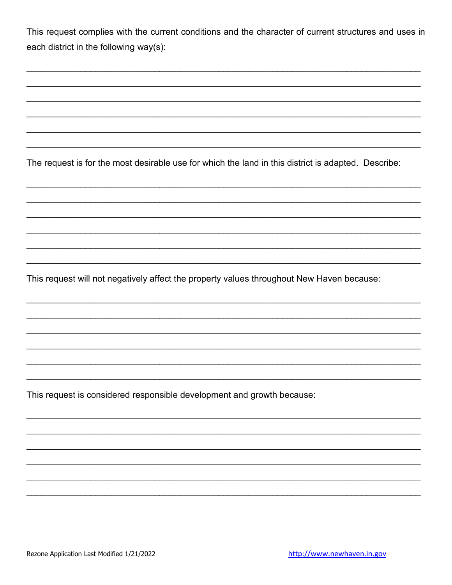|  |                                        |  | This request complies with the current conditions and the character of current structures and uses in |  |  |  |  |
|--|----------------------------------------|--|-------------------------------------------------------------------------------------------------------|--|--|--|--|
|  | each district in the following way(s): |  |                                                                                                       |  |  |  |  |

The request is for the most desirable use for which the land in this district is adapted. Describe:

This request will not negatively affect the property values throughout New Haven because:

This request is considered responsible development and growth because: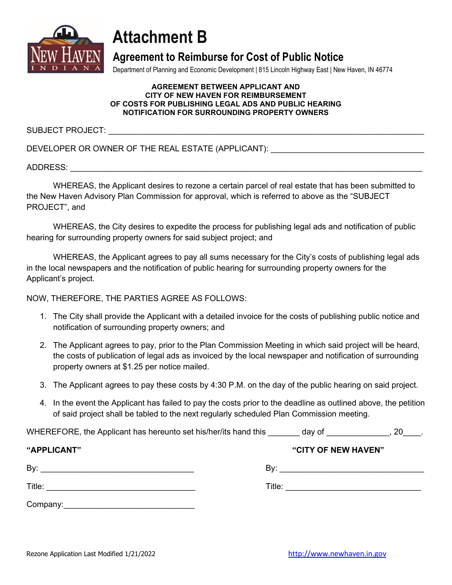

## **Attachment B**

### **Agreement to Reimburse for Cost of Public Notice**

Department of Planning and Economic Development | 815 Lincoln Highway East | New Haven, IN 46774

#### **AGREEMENT BETWEEN APPLICANT AND CITY OF NEW HAVEN FOR REIMBURSEMENT OF COSTS FOR PUBLISHING LEGAL ADS AND PUBLIC HEARING NOTIFICATION FOR SURROUNDING PROPERTY OWNERS**

SUBJECT PROJECT: **We are all that the set of the set of the set of the set of the set of the set of the set of the set of the set of the set of the set of the set of the set of the set of the set of the set of the set of t** 

DEVELOPER OR OWNER OF THE REAL ESTATE (APPLICANT):

ADDRESS: \_\_\_\_\_\_\_\_\_\_\_\_\_\_\_\_\_\_\_\_\_\_\_\_\_\_\_\_\_\_\_\_\_\_\_\_\_\_\_\_\_\_\_\_\_\_\_\_\_\_\_\_\_\_\_\_\_\_\_\_\_\_\_\_\_\_\_\_\_\_\_\_\_\_\_\_\_\_

WHEREAS, the Applicant desires to rezone a certain parcel of real estate that has been submitted to the New Haven Advisory Plan Commission for approval, which is referred to above as the "SUBJECT PROJECT", and

WHEREAS, the City desires to expedite the process for publishing legal ads and notification of public hearing for surrounding property owners for said subject project; and

WHEREAS, the Applicant agrees to pay all sums necessary for the City's costs of publishing legal ads in the local newspapers and the notification of public hearing for surrounding property owners for the Applicant's project.

NOW, THEREFORE, THE PARTIES AGREE AS FOLLOWS:

- 1. The City shall provide the Applicant with a detailed invoice for the costs of publishing public notice and notification of surrounding property owners; and
- 2. The Applicant agrees to pay, prior to the Plan Commission Meeting in which said project will be heard, the costs of publication of legal ads as invoiced by the local newspaper and notification of surrounding property owners at \$1.25 per notice mailed.
- 3. The Applicant agrees to pay these costs by 4:30 P.M. on the day of the public hearing on said project.
- 4. In the event the Applicant has failed to pay the costs prior to the deadline as outlined above, the petition of said project shall be tabled to the next regularly scheduled Plan Commission meeting.

WHEREFORE, the Applicant has hereunto set his/her/its hand this day of the same set of the set of the set of the set of the set of the set of the set of the set of the set of the set of the set of the set of the set of the

| "APPLICANT"                                                                                                                                                                                                                               | "CITY OF NEW HAVEN" |
|-------------------------------------------------------------------------------------------------------------------------------------------------------------------------------------------------------------------------------------------|---------------------|
| By:                                                                                                                                                                                                                                       | Bv:                 |
|                                                                                                                                                                                                                                           |                     |
| Title:                                                                                                                                                                                                                                    | Title:              |
|                                                                                                                                                                                                                                           |                     |
| Company:<br>the control of the control of the control of the control of the control of the control of the control of the control of the control of the control of the control of the control of the control of the control of the control |                     |